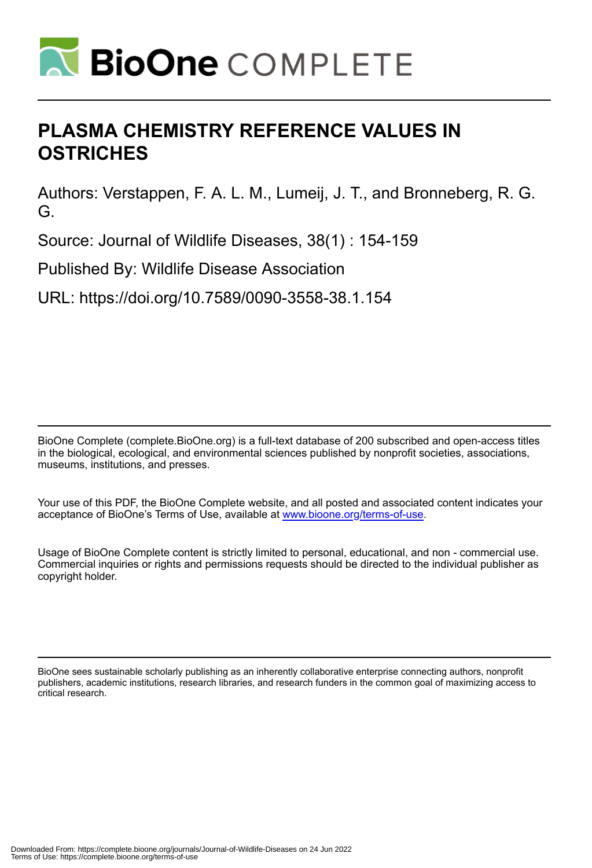

# **PLASMA CHEMISTRY REFERENCE VALUES IN OSTRICHES**

Authors: Verstappen, F. A. L. M., Lumeij, J. T., and Bronneberg, R. G. G.

Source: Journal of Wildlife Diseases, 38(1) : 154-159

Published By: Wildlife Disease Association

URL: https://doi.org/10.7589/0090-3558-38.1.154

BioOne Complete (complete.BioOne.org) is a full-text database of 200 subscribed and open-access titles in the biological, ecological, and environmental sciences published by nonprofit societies, associations, museums, institutions, and presses.

Your use of this PDF, the BioOne Complete website, and all posted and associated content indicates your acceptance of BioOne's Terms of Use, available at www.bioone.org/terms-of-use.

Usage of BioOne Complete content is strictly limited to personal, educational, and non - commercial use. Commercial inquiries or rights and permissions requests should be directed to the individual publisher as copyright holder.

BioOne sees sustainable scholarly publishing as an inherently collaborative enterprise connecting authors, nonprofit publishers, academic institutions, research libraries, and research funders in the common goal of maximizing access to critical research.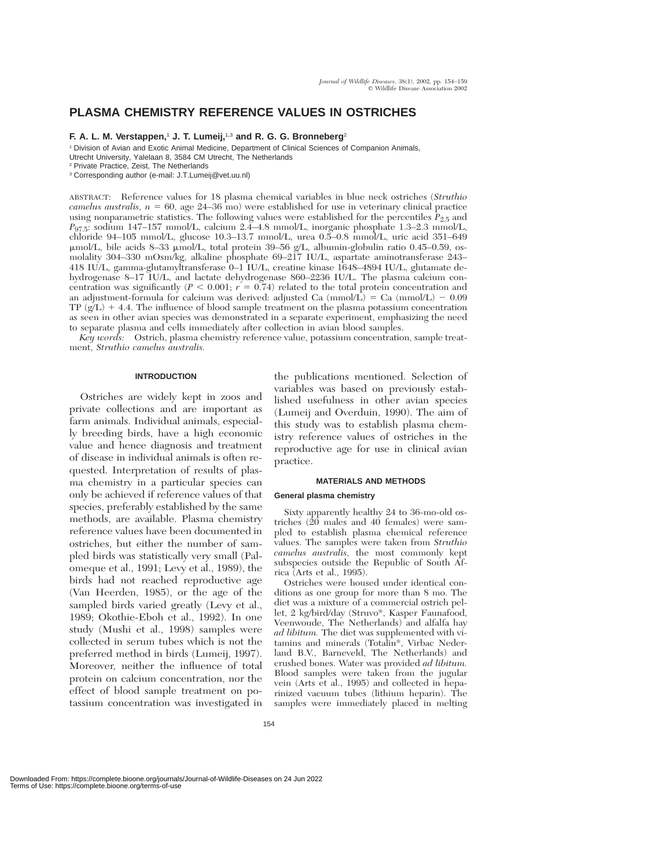# **PLASMA CHEMISTRY REFERENCE VALUES IN OSTRICHES**

# **F. A. L. M. Verstappen,**<sup>1</sup> **J. T. Lumeij,**1,3 **and R. G. G. Bronneberg**<sup>2</sup>

<sup>1</sup> Division of Avian and Exotic Animal Medicine, Department of Clinical Sciences of Companion Animals, Utrecht University, Yalelaan 8, 3584 CM Utrecht, The Netherlands

ABSTRACT: Reference values for 18 plasma chemical variables in blue neck ostriches (*Struthio*  $camelus$  australis,  $n = 60$ , age  $24-36$  mo) were established for use in veterinary clinical practice using nonparametric statistics. The following values were established for the percentiles  $P_{2.5}$  and *P*97.5: sodium 147–157 mmol/L, calcium 2.4–4.8 mmol/L, inorganic phosphate 1.3–2.3 mmol/L, chloride 94–105 mmol/L, glucose 10.3–13.7 mmol/L, urea 0.5–0.8 mmol/L, uric acid 351–649 μmol/L, bile acids 8–33 μmol/L, total protein 39–56 g/L, albumin-globulin ratio 0.45–0.59, osmolality 304–330 mOsm/kg, alkaline phosphate 69–217 IU/L, aspartate aminotransferase 243– 418 IU/L, gamma-glutamyltransferase 0–1 IU/L, creatine kinase 1648–4894 IU/L, glutamate dehydrogenase 8–17 IU/L, and lactate dehydrogenase 860–2236 IU/L. The plasma calcium concentration was significantly  $(P < 0.001; r = 0.74)$  related to the total protein concentration and an adjustment-formula for calcium was derived: adjusted Ca  $(mmol/L) = Ca (mmol/L) - 0.09$ TP  $(g/L)$  + 4.4. The influence of blood sample treatment on the plasma potassium concentration as seen in other avian species was demonstrated in a separate experiment, emphasizing the need to separate plasma and cells immediately after collection in avian blood samples.

*Key words:* Ostrich, plasma chemistry reference value, potassium concentration, sample treatment, *Struthio camelus australis.*

# **INTRODUCTION**

Ostriches are widely kept in zoos and private collections and are important as farm animals. Individual animals, especially breeding birds, have a high economic value and hence diagnosis and treatment of disease in individual animals is often requested. Interpretation of results of plasma chemistry in a particular species can only be achieved if reference values of that species, preferably established by the same methods, are available. Plasma chemistry reference values have been documented in ostriches, but either the number of sampled birds was statistically very small (Palomeque et al., 1991; Levy et al., 1989), the birds had not reached reproductive age (Van Heerden, 1985), or the age of the sampled birds varied greatly (Levy et al., 1989; Okothie-Eboh et al., 1992). In one study (Mushi et al., 1998) samples were collected in serum tubes which is not the preferred method in birds (Lumeij, 1997). Moreover, neither the influence of total protein on calcium concentration, nor the effect of blood sample treatment on potassium concentration was investigated in

the publications mentioned. Selection of variables was based on previously established usefulness in other avian species (Lumeij and Overduin, 1990). The aim of this study was to establish plasma chemistry reference values of ostriches in the reproductive age for use in clinical avian practice.

# **MATERIALS AND METHODS**

#### **General plasma chemistry**

Sixty apparently healthy 24 to 36-mo-old ostriches (20 males and 40 females) were sampled to establish plasma chemical reference values. The samples were taken from *Struthio camelus australis,* the most commonly kept subspecies outside the Republic of South Africa (Arts et al., 1995).

Ostriches were housed under identical conditions as one group for more than 8 mo. The diet was a mixture of a commercial ostrich pellet, 2 kg/bird/day (Struvo®, Kasper Faunafood, Veenwoude, The Netherlands) and alfalfa hay *ad libitum.* The diet was supplemented with vitamins and minerals (Totalin®, Virbac Nederland B.V., Barneveld, The Netherlands) and crushed bones. Water was provided *ad libitum.* Blood samples were taken from the jugular vein (Arts et al., 1995) and collected in heparinized vacuum tubes (lithium heparin). The samples were immediately placed in melting

<sup>2</sup> Private Practice, Zeist, The Netherlands

<sup>3</sup> Corresponding author (e-mail: J.T.Lumeij@vet.uu.nl)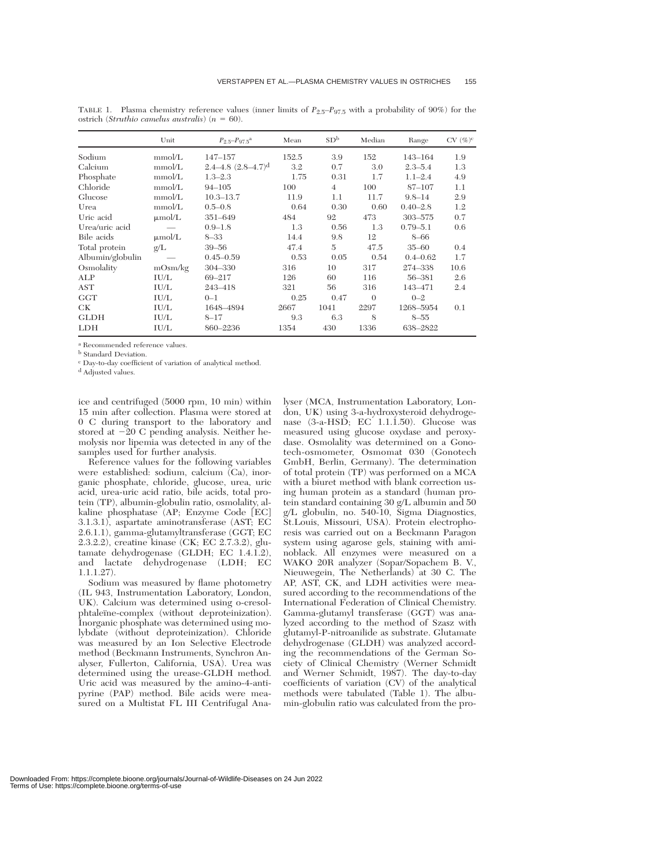|                  | Unit        | $P_{2.5} - P_{97.5}$ <sup>a</sup>      | Mean  | SD <sup>b</sup> | Median   | Range        | $CV (\%)^c$ |
|------------------|-------------|----------------------------------------|-------|-----------------|----------|--------------|-------------|
| Sodium           | mmol/L      | $147 - 157$                            | 152.5 | 3.9             | 152      | 143-164      | 1.9         |
| Calcium          | mmol/L      | $2.4 - 4.8$ $(2.8 - 4.7)$ <sup>d</sup> | 3.2   | 0.7             | 3.0      | $2.3 - 5.4$  | 1.3         |
| Phosphate        | mmol/L      | $1.3 - 2.3$                            | 1.75  | 0.31            | 1.7      | $1.1 - 2.4$  | 4.9         |
| Chloride         | mmol/L      | $94 - 105$                             | 100   | $\overline{4}$  | 100      | 87-107       | 1.1         |
| Glucose          | mmol/L      | $10.3 - 13.7$                          | 11.9  | 1.1             | 11.7     | $9.8 - 14$   | 2.9         |
| Urea             | mmol/L      | $0.5 - 0.8$                            | 0.64  | 0.30            | 0.60     | $0.40 - 2.8$ | 1.2         |
| Uric acid        | $\mu$ mol/L | 351-649                                | 484   | 92              | 473      | 303-575      | 0.7         |
| Urea/uric acid   |             | $0.9 - 1.8$                            | 1.3   | 0.56            | 1.3      | $0.79 - 5.1$ | 0.6         |
| Bile acids       | $\mu$ mol/L | $8 - 33$                               | 14.4  | 9.8             | 12       | $8 - 66$     |             |
| Total protein    | g/L         | $39 - 56$                              | 47.4  | 5               | 47.5     | $35 - 60$    | 0.4         |
| Albumin/globulin |             | $0.45 - 0.59$                          | 0.53  | 0.05            | 0.54     | $0.4 - 0.62$ | 1.7         |
| Osmolality       | mOsm/kg     | 304-330                                | 316   | 10              | 317      | 274-338      | 10.6        |
| ALP              | IU/L        | 69-217                                 | 126   | 60              | 116      | 56-381       | 2.6         |
| AST              | IU/L        | 243-418                                | 321   | 56              | 316      | 143-471      | 2.4         |
| <b>GGT</b>       | IU/L        | $0 - 1$                                | 0.25  | 0.47            | $\Omega$ | $0 - 2$      |             |
| CК               | IU/L        | 1648-4894                              | 2667  | 1041            | 2297     | 1268-5954    | 0.1         |
| <b>GLDH</b>      | IU/L        | $8 - 17$                               | 9.3   | 6.3             | 8        | $8 - 55$     |             |
| <b>LDH</b>       | IU/L        | 860-2236                               | 1354  | 430             | 1336     | 638-2822     |             |

TABLE 1. Plasma chemistry reference values (inner limits of *P*2.5–*P*97.5 with a probability of 90%) for the ostrich (*Struthio camelus australis*) ( $n = 60$ ).

<sup>a</sup> Recommended reference values.

**b** Standard Deviation.

<sup>c</sup> Day-to-day coefficient of variation of analytical method.

<sup>d</sup> Adjusted values.

ice and centrifuged (5000 rpm, 10 min) within 15 min after collection. Plasma were stored at 0 C during transport to the laboratory and stored at  $-20$  C pending analysis. Neither hemolysis nor lipemia was detected in any of the samples used for further analysis.

Reference values for the following variables were established: sodium, calcium (Ca), inorganic phosphate, chloride, glucose, urea, uric acid, urea-uric acid ratio, bile acids, total protein (TP), albumin-globulin ratio, osmolality, alkaline phosphatase (AP; Enzyme Code [EC] 3.1.3.1), aspartate aminotransferase (AST; EC 2.6.1.1), gamma-glutamyltransferase (GGT; EC 2.3.2.2), creatine kinase (CK; EC 2.7.3.2), glutamate dehydrogenase (GLDH; EC 1.4.1.2), and lactate dehydrogenase (LDH; EC 1.1.1.27).

Sodium was measured by flame photometry (IL 943, Instrumentation Laboratory, London, UK). Calcium was determined using o-cresolphtaleïne-complex (without deproteinization). Inorganic phosphate was determined using molybdate (without deproteinization). Chloride was measured by an Ion Selective Electrode method (Beckmann Instruments, Synchron Analyser, Fullerton, California, USA). Urea was determined using the urease-GLDH method. Uric acid was measured by the amino-4-antipyrine (PAP) method. Bile acids were measured on a Multistat FL III Centrifugal Ana-

lyser (MCA, Instrumentation Laboratory, London, UK) using 3-a-hydroxysteroid dehydrogenase (3-a-HSD; EC 1.1.1.50). Glucose was measured using glucose oxydase and peroxydase. Osmolality was determined on a Gonotech-osmometer, Osmomat 030 (Gonotech GmbH, Berlin, Germany). The determination of total protein (TP) was performed on a MCA with a biuret method with blank correction using human protein as a standard (human protein standard containing 30 g/L albumin and 50 g/L globulin, no. 540-10, Sigma Diagnostics, St.Louis, Missouri, USA). Protein electrophoresis was carried out on a Beckmann Paragon system using agarose gels, staining with aminoblack. All enzymes were measured on a WAKO 20R analyzer (Sopar/Sopachem B. V., Nieuwegein, The Netherlands) at 30 C. The AP, AST, CK, and LDH activities were measured according to the recommendations of the International Federation of Clinical Chemistry. Gamma-glutamyl transferase (GGT) was analyzed according to the method of Szasz with glutamyl-P-nitroanilide as substrate. Glutamate dehydrogenase (GLDH) was analyzed according the recommendations of the German Society of Clinical Chemistry (Werner Schmidt and Werner Schmidt, 1987). The day-to-day coefficients of variation (CV) of the analytical methods were tabulated (Table 1). The albumin-globulin ratio was calculated from the pro-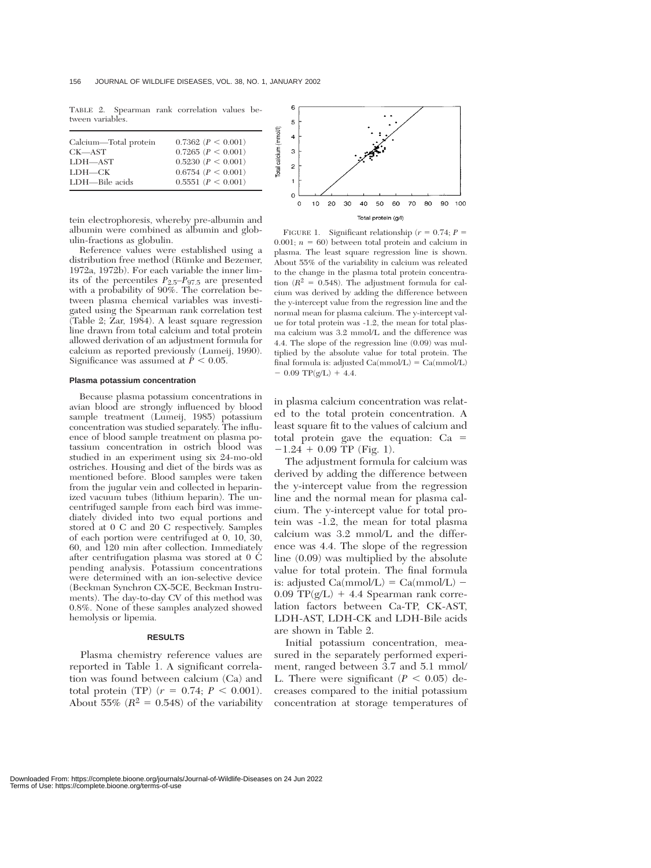TABLE 2. Spearman rank correlation values between variables.

| Calcium-Total protein | $0.7362$ $(P < 0.001)$   |
|-----------------------|--------------------------|
| CK—AST                | $0.7265$ $(P < 0.001)$   |
| LDH-AST               | $0.5230$ $(P < 0.001)$   |
| LDH—CK                | $0.6754$ ( $P < 0.001$ ) |
| LDH—Bile acids        | 0.5551 (P < 0.001)       |
|                       |                          |

tein electrophoresis, whereby pre-albumin and albumin were combined as albumin and globulin-fractions as globulin.

Reference values were established using a distribution free method (Rümke and Bezemer, 1972a, 1972b). For each variable the inner limits of the percentiles *P*2.5–*P*97.5 are presented with a probability of 90%. The correlation between plasma chemical variables was investigated using the Spearman rank correlation test  $(Table 2; Zar, 1984)$ . A least square regression line drawn from total calcium and total protein allowed derivation of an adjustment formula for calcium as reported previously (Lumeij, 1990). Significance was assumed at  $P < 0.05$ .

#### **Plasma potassium concentration**

Because plasma potassium concentrations in avian blood are strongly influenced by blood sample treatment (Lumeij, 1985) potassium concentration was studied separately. The influence of blood sample treatment on plasma potassium concentration in ostrich blood was studied in an experiment using six 24-mo-old ostriches. Housing and diet of the birds was as mentioned before. Blood samples were taken from the jugular vein and collected in heparinized vacuum tubes (lithium heparin). The uncentrifuged sample from each bird was immediately divided into two equal portions and stored at 0 C and 20 C respectively. Samples of each portion were centrifuged at 0, 10, 30, 60, and 120 min after collection. Immediately after centrifugation plasma was stored at 0 C pending analysis. Potassium concentrations were determined with an ion-selective device (Beckman Synchron CX-5CE, Beckman Instruments). The day-to-day CV of this method was 0.8%. None of these samples analyzed showed hemolysis or lipemia.

# **RESULTS**

Plasma chemistry reference values are reported in Table 1. A significant correlation was found between calcium (Ca) and total protein (TP)  $(r = 0.74; P < 0.001)$ . About 55%  $(R^2 = 0.548)$  of the variability



FIGURE 1. Significant relationship ( $r = 0.74$ ;  $P =$ 0.001;  $n = 60$ ) between total protein and calcium in plasma. The least square regression line is shown. About 55% of the variability in calcium was releated to the change in the plasma total protein concentration  $(R^2 = 0.548)$ . The adjustment formula for calcium was derived by adding the difference between the y-intercept value from the regression line and the normal mean for plasma calcium. The y-intercept value for total protein was -1.2, the mean for total plasma calcium was 3.2 mmol/L and the difference was 4.4. The slope of the regression line (0.09) was multiplied by the absolute value for total protein. The final formula is: adjusted  $Ca(mmol/L) = Ca(mmol/L)$  $-$  0.09 TP(g/L) + 4.4.

in plasma calcium concentration was related to the total protein concentration. A least square fit to the values of calcium and total protein gave the equation: Ca  $-1.24 + 0.09$  TP (Fig. 1).

The adjustment formula for calcium was derived by adding the difference between the y-intercept value from the regression line and the normal mean for plasma calcium. The y-intercept value for total protein was -1.2, the mean for total plasma calcium was 3.2 mmol/L and the difference was 4.4. The slope of the regression line (0.09) was multiplied by the absolute value for total protein. The final formula is: adjusted  $Ca(mmol/L) = Ca(mmol/L) 0.09$  TP( $g/L$ ) + 4.4 Spearman rank correlation factors between Ca-TP, CK-AST, LDH-AST, LDH-CK and LDH-Bile acids are shown in Table 2.

Initial potassium concentration, measured in the separately performed experiment, ranged between 3.7 and 5.1 mmol/ L. There were significant  $(P < 0.05)$  decreases compared to the initial potassium concentration at storage temperatures of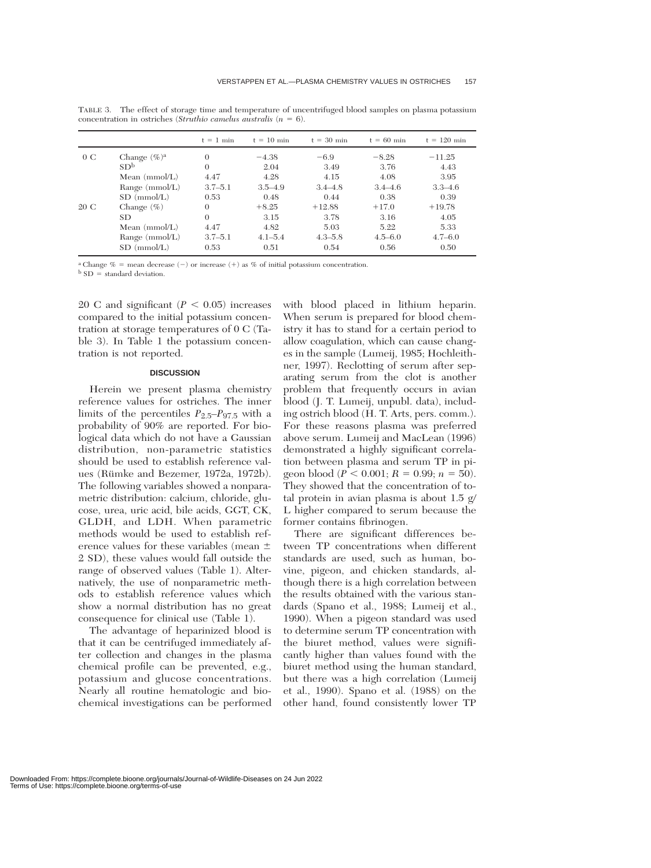|      |                 | $t = 1$ min | $t = 10$ min | $t = 30$ min | $t = 60$ min | $t = 120$ min |
|------|-----------------|-------------|--------------|--------------|--------------|---------------|
| 0C   | Change $(\%)^a$ | 0           | $-4.38$      | $-6.9$       | $-8.28$      | $-11.25$      |
|      | SD <sup>b</sup> | $\Omega$    | 2.04         | 3.49         | 3.76         | 4.43          |
|      | Mean $(mmol/L)$ | 4.47        | 4.28         | 4.15         | 4.08         | 3.95          |
|      | Range (mmol/L)  | $3.7 - 5.1$ | $3.5 - 4.9$  | $3.4 - 4.8$  | $3.4 - 4.6$  | $3.3 - 4.6$   |
|      | $SD \ (mmol/L)$ | 0.53        | 0.48         | 0.44         | 0.38         | 0.39          |
| 20 C | Change $(\% )$  | $\theta$    | $+8.25$      | $+12.88$     | $+17.0$      | $+19.78$      |
|      | <b>SD</b>       | $\theta$    | 3.15         | 3.78         | 3.16         | 4.05          |
|      | Mean $(mmol/L)$ | 4.47        | 4.82         | 5.03         | 5.22         | 5.33          |
|      | Range (mmol/L)  | $3.7 - 5.1$ | $4.1 - 5.4$  | $4.3 - 5.8$  | $4.5 - 6.0$  | $4.7 - 6.0$   |
|      | $SD \ (mmol/L)$ | 0.53        | 0.51         | 0.54         | 0.56         | 0.50          |

TABLE 3. The effect of storage time and temperature of uncentrifuged blood samples on plasma potassium concentration in ostriches (*Struthio camelus australis*  $(n = 6)$ ).

<sup>a</sup> Change  $% =$  mean decrease  $(-)$  or increase  $(+)$  as % of initial potassium concentration.

 $b$  SD = standard deviation.

20 C and significant  $(P < 0.05)$  increases compared to the initial potassium concentration at storage temperatures of 0 C (Table 3). In Table 1 the potassium concentration is not reported.

# **DISCUSSION**

Herein we present plasma chemistry reference values for ostriches. The inner limits of the percentiles  $P_{2.5}-P_{97.5}$  with a probability of 90% are reported. For biological data which do not have a Gaussian distribution, non-parametric statistics should be used to establish reference values (Rümke and Bezemer, 1972a, 1972b). The following variables showed a nonparametric distribution: calcium, chloride, glucose, urea, uric acid, bile acids, GGT, CK, GLDH, and LDH. When parametric methods would be used to establish reference values for these variables (mean 2 SD), these values would fall outside the range of observed values (Table 1). Alternatively, the use of nonparametric methods to establish reference values which show a normal distribution has no great consequence for clinical use (Table 1).

The advantage of heparinized blood is that it can be centrifuged immediately after collection and changes in the plasma chemical profile can be prevented, e.g., potassium and glucose concentrations. Nearly all routine hematologic and biochemical investigations can be performed with blood placed in lithium heparin. When serum is prepared for blood chemistry it has to stand for a certain period to allow coagulation, which can cause changes in the sample (Lumeij, 1985; Hochleithner, 1997). Reclotting of serum after separating serum from the clot is another problem that frequently occurs in avian blood (J. T. Lumeij, unpubl. data), including ostrich blood (H. T. Arts, pers. comm.). For these reasons plasma was preferred above serum. Lumeij and MacLean (1996) demonstrated a highly significant correlation between plasma and serum TP in pigeon blood ( $P < 0.001$ ;  $R = 0.99$ ;  $n = 50$ ). They showed that the concentration of total protein in avian plasma is about 1.5 g/ L higher compared to serum because the former contains fibrinogen.

There are significant differences between TP concentrations when different standards are used, such as human, bovine, pigeon, and chicken standards, although there is a high correlation between the results obtained with the various standards (Spano et al., 1988; Lumeij et al., 1990). When a pigeon standard was used to determine serum TP concentration with the biuret method, values were significantly higher than values found with the biuret method using the human standard, but there was a high correlation (Lumeij et al., 1990). Spano et al. (1988) on the other hand, found consistently lower TP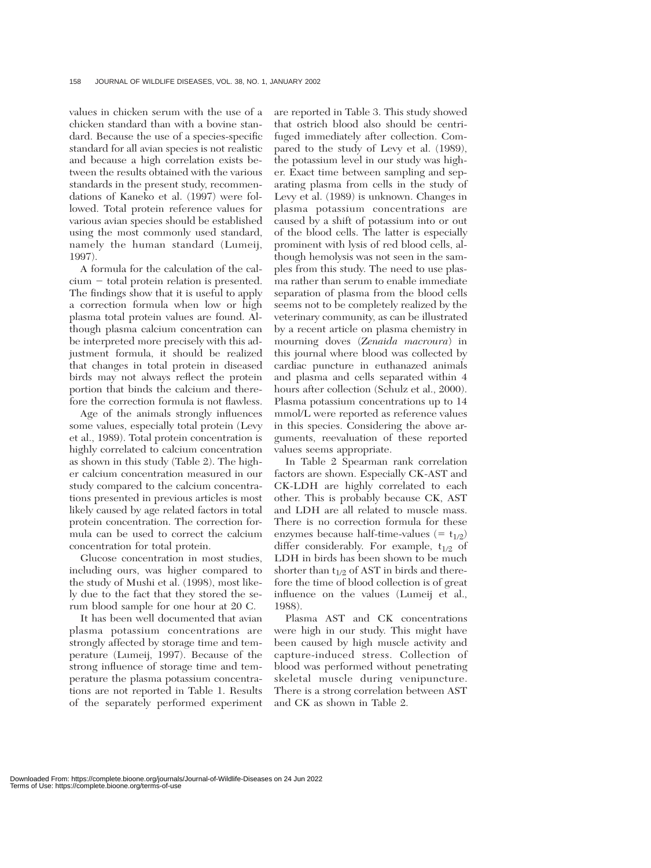values in chicken serum with the use of a chicken standard than with a bovine standard. Because the use of a species-specific standard for all avian species is not realistic and because a high correlation exists between the results obtained with the various standards in the present study, recommendations of Kaneko et al. (1997) were followed. Total protein reference values for various avian species should be established using the most commonly used standard, namely the human standard (Lumeij, 1997).

A formula for the calculation of the cal $cium - total protein relation is presented.$ The findings show that it is useful to apply a correction formula when low or high plasma total protein values are found. Although plasma calcium concentration can be interpreted more precisely with this adjustment formula, it should be realized that changes in total protein in diseased birds may not always reflect the protein portion that binds the calcium and therefore the correction formula is not flawless.

Age of the animals strongly influences some values, especially total protein (Levy et al., 1989). Total protein concentration is highly correlated to calcium concentration as shown in this study (Table 2). The higher calcium concentration measured in our study compared to the calcium concentrations presented in previous articles is most likely caused by age related factors in total protein concentration. The correction formula can be used to correct the calcium concentration for total protein.

Glucose concentration in most studies, including ours, was higher compared to the study of Mushi et al. (1998), most likely due to the fact that they stored the serum blood sample for one hour at 20 C.

It has been well documented that avian plasma potassium concentrations are strongly affected by storage time and temperature (Lumeij, 1997). Because of the strong influence of storage time and temperature the plasma potassium concentrations are not reported in Table 1. Results of the separately performed experiment

are reported in Table 3. This study showed that ostrich blood also should be centrifuged immediately after collection. Compared to the study of Levy et al. (1989), the potassium level in our study was higher. Exact time between sampling and separating plasma from cells in the study of Levy et al. (1989) is unknown. Changes in plasma potassium concentrations are caused by a shift of potassium into or out of the blood cells. The latter is especially prominent with lysis of red blood cells, although hemolysis was not seen in the samples from this study. The need to use plasma rather than serum to enable immediate separation of plasma from the blood cells seems not to be completely realized by the veterinary community, as can be illustrated by a recent article on plasma chemistry in mourning doves (*Zenaida macroura*) in this journal where blood was collected by cardiac puncture in euthanazed animals and plasma and cells separated within 4 hours after collection (Schulz et al., 2000). Plasma potassium concentrations up to 14 mmol/L were reported as reference values in this species. Considering the above arguments, reevaluation of these reported values seems appropriate.

In Table 2 Spearman rank correlation factors are shown. Especially CK-AST and CK-LDH are highly correlated to each other. This is probably because CK, AST and LDH are all related to muscle mass. There is no correction formula for these enzymes because half-time-values  $( = t_{1/2})$ differ considerably. For example,  $t_{1/2}$  of LDH in birds has been shown to be much shorter than  $t_{1/2}$  of AST in birds and therefore the time of blood collection is of great influence on the values (Lumeij et al., 1988).

Plasma AST and CK concentrations were high in our study. This might have been caused by high muscle activity and capture-induced stress. Collection of blood was performed without penetrating skeletal muscle during venipuncture. There is a strong correlation between AST and CK as shown in Table 2.